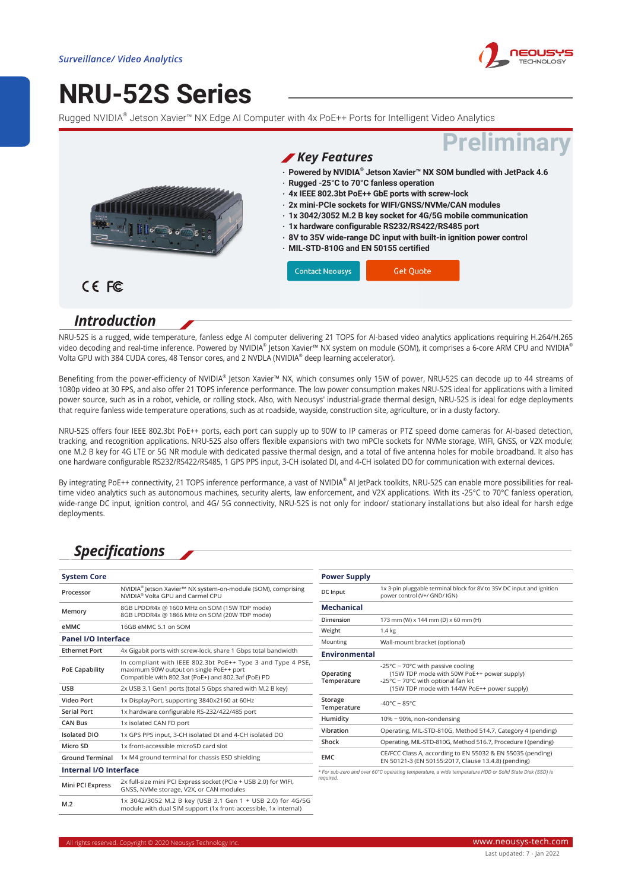

# **[NRU-52S Series](https://www.neousys-tech.com/en/product/application/mobile-surveillance-system/nru-52s-nvidia-jason-nx-edge-ai-computer?utm_source=datasheet&utm_medium=web&utm_campaign=NRU-52S)**

Rugged NVIDIA® Jetson Xavier™ NX Edge AI Computer with 4x PoE++ Ports for Intelligent Video Analytics



#### *Introduction*

NRU-52S is a rugged, wide temperature, fanless edge AI computer delivering 21 TOPS for AI-based video analytics applications requiring H.264/H.265 video decoding and real-time inference. Powered by NVIDIA® |etson Xavier™ NX system on module (SOM), it comprises a 6-core ARM CPU and NVIDIA® Volta GPU with 384 CUDA cores, 48 Tensor cores, and 2 NVDLA (NVIDIA® deep learning accelerator).

Benefiting from the power-efficiency of NVIDIA® Jetson Xavier™ NX, which consumes only 15W of power, NRU-52S can decode up to 44 streams of 1080p video at 30 FPS, and also offer 21 TOPS inference performance. The low power consumption makes NRU-52S ideal for applications with a limited power source, such as in a robot, vehicle, or rolling stock. Also, with Neousys' industrial-grade thermal design, NRU-52S is ideal for edge deployments that require fanless wide temperature operations, such as at roadside, wayside, construction site, agriculture, or in a dusty factory.

NRU-52S offers four IEEE 802.3bt PoE++ ports, each port can supply up to 90W to IP cameras or PTZ speed dome cameras for AI-based detection, tracking, and recognition applications. NRU-52S also offers flexible expansions with two mPCIe sockets for NVMe storage, WIFI, GNSS, or V2X module; one M.2 B key for 4G LTE or 5G NR module with dedicated passive thermal design, and a total of five antenna holes for mobile broadband. It also has one hardware configurable RS232/RS422/RS485, 1 GPS PPS input, 3-CH isolated DI, and 4-CH isolated DO for communication with external devices.

By integrating PoE++ connectivity, 21 TOPS inference performance, a vast of NVIDIA® AI JetPack toolkits, NRU-52S can enable more possibilities for realtime video analytics such as autonomous machines, security alerts, law enforcement, and V2X applications. With its -25°C to 70°C fanless operation, wide-range DC input, ignition control, and 4G/ 5G connectivity, NRU-52S is not only for indoor/ stationary installations but also ideal for harsh edge deployments.

### *Specifications*

| <b>System Core</b>         |                                                                                                                                                               | <b>Power Supply</b>                                                                                     |                                                                                                                       |
|----------------------------|---------------------------------------------------------------------------------------------------------------------------------------------------------------|---------------------------------------------------------------------------------------------------------|-----------------------------------------------------------------------------------------------------------------------|
| Processor                  | NVIDIA <sup>®</sup> Jetson Xavier™ NX system-on-module (SOM), comprising<br>NVIDIA <sup>®</sup> Volta GPU and Carmel CPU                                      | DC Input                                                                                                | 1x 3-pin pluggable terminal block for 8V to 35V DC input and ignition<br>power control (V+/ GND/ IGN)                 |
| Memory                     | 8GB LPDDR4x @ 1600 MHz on SOM (15W TDP mode)<br>8GB LPDDR4x @ 1866 MHz on SOM (20W TDP mode)                                                                  | <b>Mechanical</b>                                                                                       |                                                                                                                       |
| eMMC                       | 16GB eMMC 5.1 on SOM                                                                                                                                          | Dimension                                                                                               | 173 mm (W) x 144 mm (D) x 60 mm (H)                                                                                   |
|                            |                                                                                                                                                               | Weight                                                                                                  | 1.4 kg                                                                                                                |
| <b>Panel I/O Interface</b> |                                                                                                                                                               | Mounting                                                                                                | Wall-mount bracket (optional)                                                                                         |
| <b>Ethernet Port</b>       | 4x Gigabit ports with screw-lock, share 1 Gbps total bandwidth                                                                                                | <b>Environmental</b>                                                                                    |                                                                                                                       |
| <b>PoE Capability</b>      | In compliant with IEEE 802.3bt PoE++ Type 3 and Type 4 PSE,<br>maximum 90W output on single PoE++ port<br>Compatible with 802.3at (PoE+) and 802.3af (PoE) PD | Operating<br>Temperature                                                                                | -25°C ~ 70°C with passive cooling<br>(15W TDP mode with 50W PoE++ power supply)<br>-25°C ~ 70°C with optional fan kit |
| <b>USB</b>                 | 2x USB 3.1 Gen1 ports (total 5 Gbps shared with M.2 B key)                                                                                                    |                                                                                                         | (15W TDP mode with 144W PoE++ power supply)                                                                           |
| <b>Video Port</b>          | 1x DisplayPort, supporting 3840x2160 at 60Hz                                                                                                                  | Storage<br>Temperature                                                                                  | -40°C ~ 85°C                                                                                                          |
| <b>Serial Port</b>         | 1x hardware configurable RS-232/422/485 port                                                                                                                  |                                                                                                         |                                                                                                                       |
| <b>CAN Bus</b>             | 1x isolated CAN FD port                                                                                                                                       | Humidity                                                                                                | $10\%$ ~ 90%, non-condensing                                                                                          |
| <b>Isolated DIO</b>        | 1x GPS PPS input, 3-CH isolated DI and 4-CH isolated DO                                                                                                       | Vibration                                                                                               | Operating, MIL-STD-810G, Method 514.7, Category 4 (pending)                                                           |
| Micro SD                   | 1x front-accessible microSD card slot                                                                                                                         | Shock                                                                                                   | Operating, MIL-STD-810G, Method 516.7, Procedure I (pending)                                                          |
| <b>Ground Terminal</b>     | 1x M4 ground terminal for chassis ESD shielding                                                                                                               | <b>EMC</b>                                                                                              | CE/FCC Class A, according to EN 55032 & EN 55035 (pending)<br>EN 50121-3 (EN 50155:2017, Clause 13.4.8) (pending)     |
| Internal I/O Interface     |                                                                                                                                                               | * For sub-zero and over 60°C operating temperature, a wide temperature HDD or Solid State Disk (SSD) is |                                                                                                                       |
| Mini PCI Express           | 2x full-size mini PCI Express socket (PCIe + USB 2.0) for WIFI,<br>GNSS, NVMe storage, V2X, or CAN modules                                                    | required.                                                                                               |                                                                                                                       |
| M.2                        | 1x 3042/3052 M.2 B key (USB 3.1 Gen 1 + USB 2.0) for 4G/5G<br>module with dual SIM support (1x front-accessible, 1x internal)                                 |                                                                                                         |                                                                                                                       |